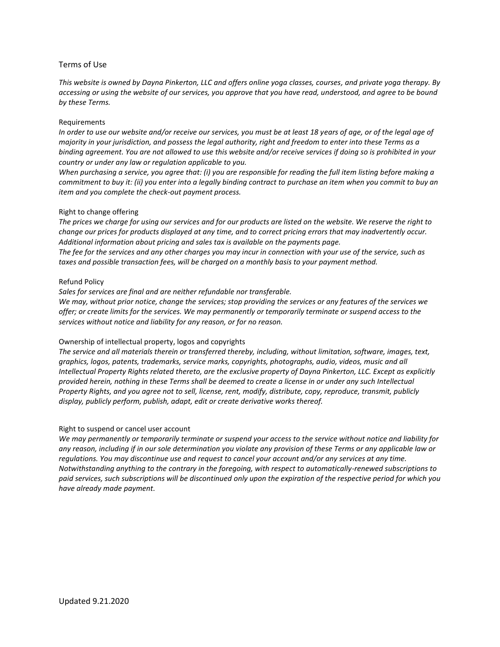# Terms of Use

*This website is owned by Dayna Pinkerton, LLC and offers online yoga classes, courses, and private yoga therapy. By accessing or using the website of our services, you approve that you have read, understood, and agree to be bound by these Terms.*

## Requirements

*In order to use our website and/or receive our services, you must be at least 18 years of age, or of the legal age of majority in your jurisdiction, and possess the legal authority, right and freedom to enter into these Terms as a binding agreement. You are not allowed to use this website and/or receive services if doing so is prohibited in your country or under any law or regulation applicable to you.*

*When purchasing a service, you agree that: (i) you are responsible for reading the full item listing before making a commitment to buy it: (ii) you enter into a legally binding contract to purchase an item when you commit to buy an item and you complete the check-out payment process.*

## Right to change offering

*The prices we charge for using our services and for our products are listed on the website. We reserve the right to change our prices for products displayed at any time, and to correct pricing errors that may inadvertently occur. Additional information about pricing and sales tax is available on the payments page.*

*The fee for the services and any other charges you may incur in connection with your use of the service, such as taxes and possible transaction fees, will be charged on a monthly basis to your payment method.*

## Refund Policy

*Sales for services are final and are neither refundable nor transferable.*

*We may, without prior notice, change the services; stop providing the services or any features of the services we offer; or create limits for the services. We may permanently or temporarily terminate or suspend access to the services without notice and liability for any reason, or for no reason.*

# Ownership of intellectual property, logos and copyrights

*The service and all materials therein or transferred thereby, including, without limitation, software, images, text, graphics, logos, patents, trademarks, service marks, copyrights, photographs, audio, videos, music and all Intellectual Property Rights related thereto, are the exclusive property of Dayna Pinkerton, LLC. Except as explicitly provided herein, nothing in these Terms shall be deemed to create a license in or under any such Intellectual Property Rights, and you agree not to sell, license, rent, modify, distribute, copy, reproduce, transmit, publicly display, publicly perform, publish, adapt, edit or create derivative works thereof.*

## Right to suspend or cancel user account

*We may permanently or temporarily terminate or suspend your access to the service without notice and liability for any reason, including if in our sole determination you violate any provision of these Terms or any applicable law or regulations. You may discontinue use and request to cancel your account and/or any services at any time. Notwithstanding anything to the contrary in the foregoing, with respect to automatically-renewed subscriptions to paid services, such subscriptions will be discontinued only upon the expiration of the respective period for which you have already made payment.*